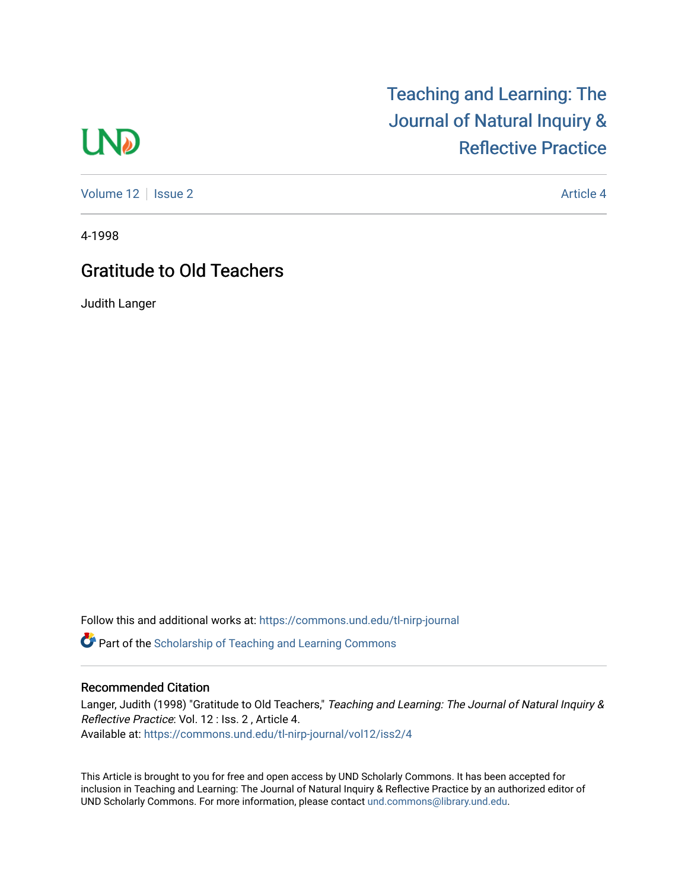# **LND**

[Volume 12](https://commons.und.edu/tl-nirp-journal/vol12) | [Issue 2](https://commons.und.edu/tl-nirp-journal/vol12/iss2) Article 4

## [Teaching and Learning: The](https://commons.und.edu/tl-nirp-journal)  [Journal of Natural Inquiry &](https://commons.und.edu/tl-nirp-journal)  [Reflective Practice](https://commons.und.edu/tl-nirp-journal)

4-1998

### Gratitude to Old Teachers

Judith Langer

Follow this and additional works at: [https://commons.und.edu/tl-nirp-journal](https://commons.und.edu/tl-nirp-journal?utm_source=commons.und.edu%2Ftl-nirp-journal%2Fvol12%2Fiss2%2F4&utm_medium=PDF&utm_campaign=PDFCoverPages) 

**C** Part of the Scholarship of Teaching and Learning Commons

#### Recommended Citation

Langer, Judith (1998) "Gratitude to Old Teachers," Teaching and Learning: The Journal of Natural Inquiry & Reflective Practice: Vol. 12 : Iss. 2 , Article 4. Available at: [https://commons.und.edu/tl-nirp-journal/vol12/iss2/4](https://commons.und.edu/tl-nirp-journal/vol12/iss2/4?utm_source=commons.und.edu%2Ftl-nirp-journal%2Fvol12%2Fiss2%2F4&utm_medium=PDF&utm_campaign=PDFCoverPages) 

This Article is brought to you for free and open access by UND Scholarly Commons. It has been accepted for inclusion in Teaching and Learning: The Journal of Natural Inquiry & Reflective Practice by an authorized editor of UND Scholarly Commons. For more information, please contact [und.commons@library.und.edu.](mailto:und.commons@library.und.edu)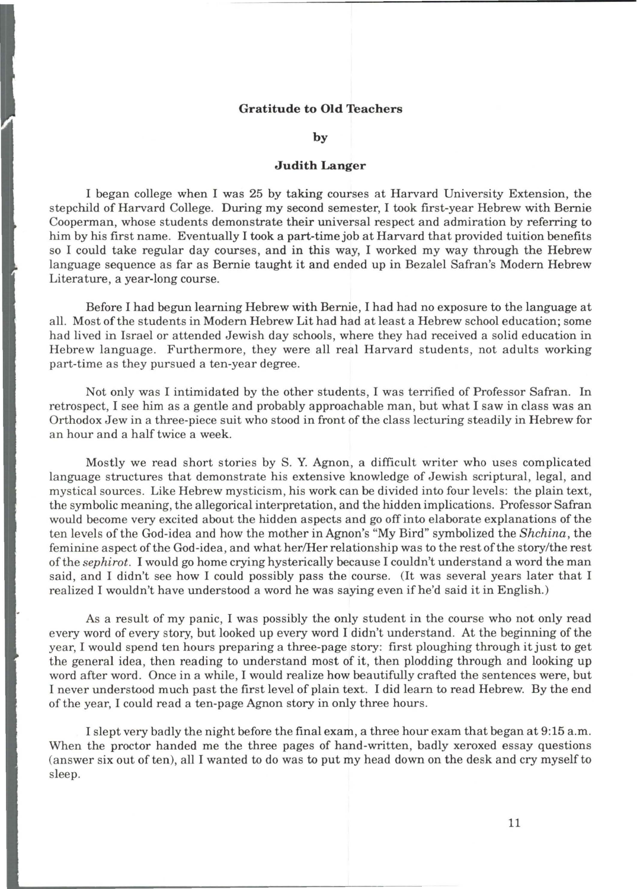#### **Gratitude to Old Teachers**

#### **by**

#### **Judith Langer**

I began college when I was 25 by taking courses at Harvard University Extension, the stepchild of Harvard College. During my second semester, I took first-year Hebrew with Bernie Cooperman, whose students demonstrate their universal respect and admiration by referring to him by his first name. Eventually I took a part-time job at Harvard that provided tuition benefits so I could take regular day courses, and in this way, I worked my way through the Hebrew language sequence as far as Bernie taught it and ended up in Bezalel Safran's Modern Hebrew Literature, a year-long course.

Before I had begun learning Hebrew with Bernie, I had had no exposure to the language at all. Most of the students in Modern Hebrew Lit had had at least a Hebrew school education; some had lived in Israel or attended Jewish day schools, where they had received a solid education in Hebrew language. Furthermore, they were all real Harvard students, not adults working part-time as they pursued a ten-year degree.

Not only was I intimidated by the other students, I was terrified of Professor Safran. In retrospect, I see him as a gentle and probably approachable man, but what I saw in class was an Orthodox Jew in a three-piece suit who stood in front of the class lecturing steadily in Hebrew for an hour and a half twice a week.

Mostly we read short stories by S. Y. Agnon, a difficult writer who uses complicated language structures that demonstrate his extensive knowledge of Jewish scriptural, legal, and mystical sources. Like Hebrew mysticism, his work can be divided into four levels: the plain text, the symbolic meaning, the allegorical interpretation, and the hidden implications. Professor Safran would become very excited about the hidden aspects and go off into elaborate explanations of the ten levels of the God-idea and how the mother in Agnon's "My Bird" symbolized the *Shchina,* the feminine aspect of the God-idea, and what her/Her relationship was to the rest of the story/the rest of the *sephirot.* I would go home crying hysterically because I couldn't understand a word the man said, and I didn't see how I could possibly pass the course. (It was several years later that I realized I wouldn't have understood a word he was saying even if he'd said it in English.)

As a result of my panic, I was possibly the only student in the course who not only read every word of every story, but looked up every word I didn't understand. At the beginning of the year, I would spend ten hours preparing a three-page story: first ploughing through it just to get the general idea, then reading to understand most of it, then plodding through and looking up word after word . Once in a while, I would realize how beautifully crafted the sentences were, but I never understood much past the first level of plain text. I did learn to read Hebrew. By the end of the year, I could read a ten-page Agnon story in only three hours.

I slept very badly the night before the final exam, a three hour exam that began at 9:15 a .m. When the proctor handed me the three pages of hand-written, badly xeroxed essay questions (answer six out often), all I wanted to do was to put my head down on the desk and cry myself to sleep.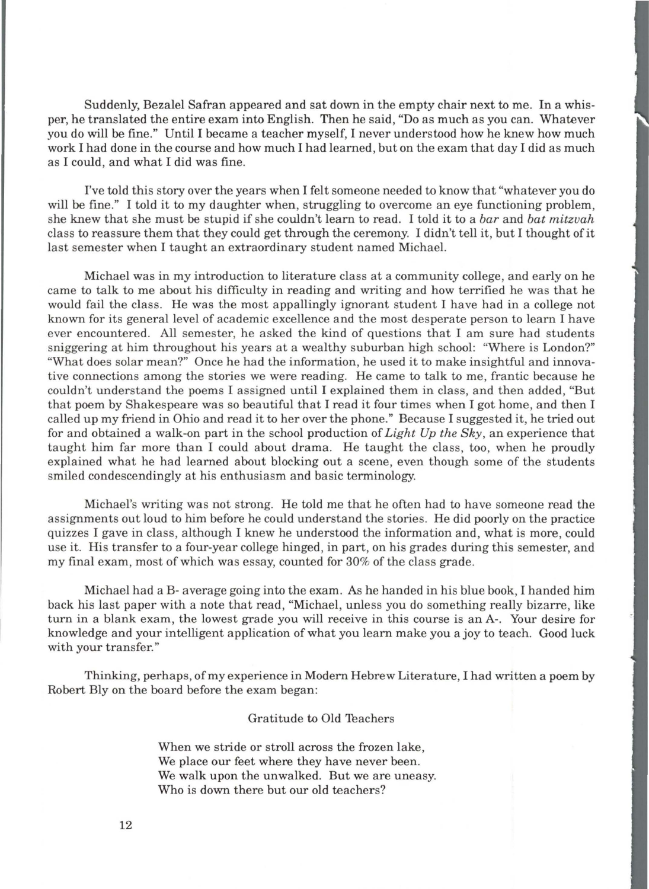Suddenly, Bezalel Safran appeared and sat down in the empty chair next to me. In a whisper, he translated the entire exam into English. Then he said, "Do as much as you can. Whatever you do will be fine." Until I became a teacher myself, I never understood how he knew how much work I had done in the course and how much I had learned, but on the exam that day I did as much as I could, and what I did was fine.

I've told this story over the years when I felt someone needed to know that "whatever you do will be fine." I told it to my daughter when, struggling to overcome an eye functioning problem, she knew that she must be stupid if she couldn't learn to read. I told it to a *bar* and *bat mitzvah*  class to reassure them that they could get through the ceremony. I didn't tell it, but I thought ofit last semester when I taught an extraordinary student named Michael.

Michael was in my introduction to literature class at a community college, and early on he came to talk to me about his difficulty in reading and writing and how terrified he was that he would fail the class. He was the most appallingly ignorant student I have had in a college not known for its general level of academic excellence and the most desperate person to learn I have ever encountered. All semester, he asked the kind of questions that I am sure had students sniggering at him throughout his years at a wealthy suburban high school: "Where is London?" "What does solar mean?" Once he had the information, he used it to make insightful and innovative connections among the stories we were reading. He came to talk to me , frantic because he couldn't understand the poems I assigned until I explained them in class, and then added , "But that poem by Shakespeare was so beautiful that I read it four times when I got home, and then I called up my friend in Ohio and read it to her over the phone." Because I suggested it, he tried out for and obtained a walk-on part in the school production of *Light Up the* Sky, an experience that taught him far more than I could about drama. He taught the class, too, when he proudly explained what he had learned about blocking out a scene, even though some of the students smiled condescendingly at his enthusiasm and basic terminology.

Michael's writing was not strong. He told me that he often had to have someone read the assignments out loud to him before he could understand the stories. He did poorly on the practice quizzes I gave in class, although I knew he understood the information and, what is more, could use it. His transfer to a four-year college hinged , in part, on his grades during this semester, and my final exam, most of which was essay, counted for 30% of the class grade.

Michael had a B- average going into the exam. As he handed in his blue book, I handed him back his last paper with a note that read, "Michael, unless you do something really bizarre, like turn in a blank exam, the lowest grade you will receive in this course is an A-. Your desire for knowledge and your intelligent application of what you learn make you a joy to teach. Good luck with your transfer."

Thinking, perhaps, of my experience in Modern Hebrew Literature, I had written a poem by Robert Bly on the board before the exam began:

#### Gratitude to Old 1eachers

When we stride or stroll across the frozen lake, We place our feet where they have never been. We walk upon the unwalked. But we are uneasy. Who is down there but our old teachers?

12